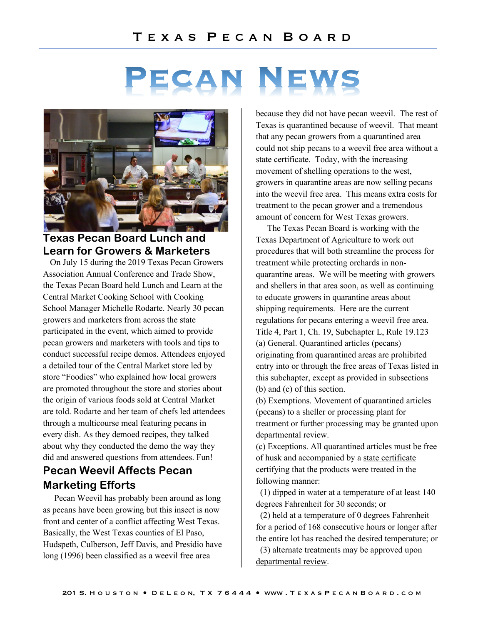# PECAN NEWS



#### **Texas Pecan Board Lunch and Learn for Growers & Marketers**

On July 15 during the 2019 Texas Pecan Growers Association Annual Conference and Trade Show, the Texas Pecan Board held Lunch and Learn at the Central Market Cooking School with Cooking School Manager Michelle Rodarte. Nearly 30 pecan growers and marketers from across the state participated in the event, which aimed to provide pecan growers and marketers with tools and tips to conduct successful recipe demos. Attendees enjoyed a detailed tour of the Central Market store led by store "Foodies" who explained how local growers are promoted throughout the store and stories about the origin of various foods sold at Central Market are told. Rodarte and her team of chefs led attendees through a multicourse meal featuring pecans in every dish. As they demoed recipes, they talked about why they conducted the demo the way they did and answered questions from attendees. Fun!

## **Pecan Weevil Affects Pecan Marketing Efforts**

Pecan Weevil has probably been around as long as pecans have been growing but this insect is now front and center of a conflict affecting West Texas. Basically, the West Texas counties of El Paso, Hudspeth, Culberson, Jeff Davis, and Presidio have long (1996) been classified as a weevil free area

because they did not have pecan weevil. The rest of Texas is quarantined because of weevil. That meant that any pecan growers from a quarantined area could not ship pecans to a weevil free area without a state certificate. Today, with the increasing movement of shelling operations to the west, growers in quarantine areas are now selling pecans into the weevil free area. This means extra costs for treatment to the pecan grower and a tremendous amount of concern for West Texas growers.

The Texas Pecan Board is working with the Texas Department of Agriculture to work out procedures that will both streamline the process for treatment while protecting orchards in nonquarantine areas. We will be meeting with growers and shellers in that area soon, as well as continuing to educate growers in quarantine areas about shipping requirements. Here are the current regulations for pecans entering a weevil free area. Title 4, Part 1, Ch. 19, Subchapter L, Rule 19.123 (a) General. Quarantined articles (pecans) originating from quarantined areas are prohibited entry into or through the free areas of Texas listed in this subchapter, except as provided in subsections (b) and (c) of this section.

(b) Exemptions. Movement of quarantined articles (pecans) to a sheller or processing plant for treatment or further processing may be granted upon departmental review.

(c) Exceptions. All quarantined articles must be free of husk and accompanied by a state certificate certifying that the products were treated in the following manner:

 (1) dipped in water at a temperature of at least 140 degrees Fahrenheit for 30 seconds; or

 (2) held at a temperature of 0 degrees Fahrenheit for a period of 168 consecutive hours or longer after the entire lot has reached the desired temperature; or

 (3) alternate treatments may be approved upon departmental review.